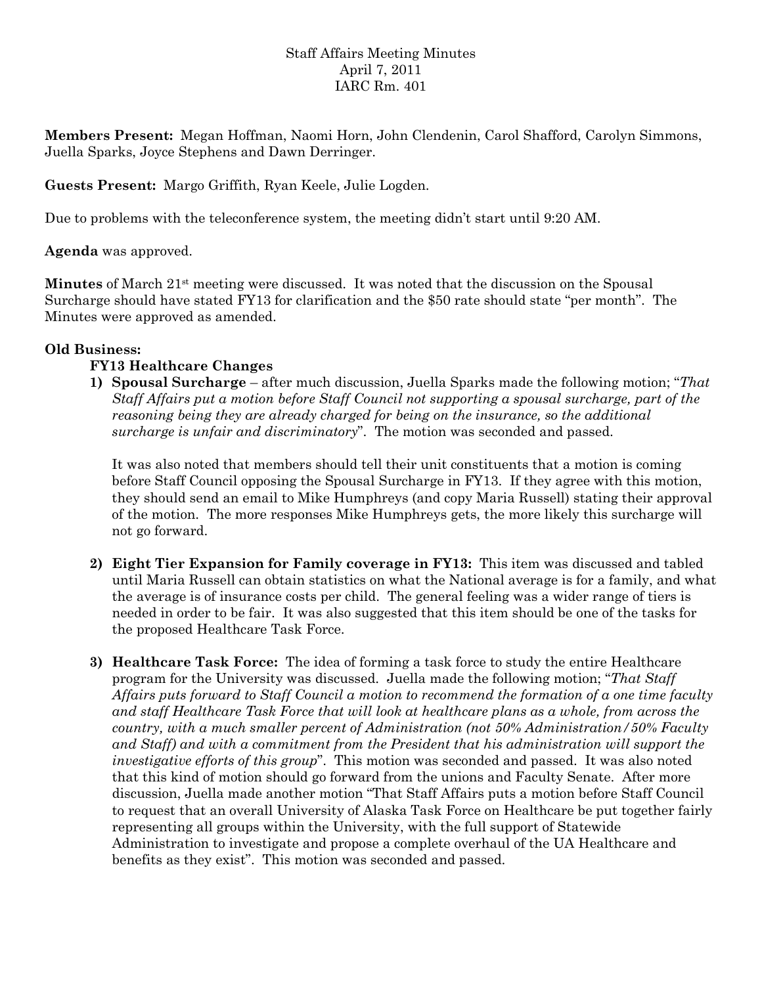## Staff Affairs Meeting Minutes April 7, 2011 IARC Rm. 401

**Members Present:** Megan Hoffman, Naomi Horn, John Clendenin, Carol Shafford, Carolyn Simmons, Juella Sparks, Joyce Stephens and Dawn Derringer.

**Guests Present:** Margo Griffith, Ryan Keele, Julie Logden.

Due to problems with the teleconference system, the meeting didn't start until 9:20 AM.

**Agenda** was approved.

**Minutes** of March 21st meeting were discussed. It was noted that the discussion on the Spousal Surcharge should have stated FY13 for clarification and the \$50 rate should state "per month". The Minutes were approved as amended.

## **Old Business:**

## **FY13 Healthcare Changes**

**1) Spousal Surcharge** – after much discussion, Juella Sparks made the following motion; "*That Staff Affairs put a motion before Staff Council not supporting a spousal surcharge, part of the reasoning being they are already charged for being on the insurance, so the additional surcharge is unfair and discriminatory*". The motion was seconded and passed.

It was also noted that members should tell their unit constituents that a motion is coming before Staff Council opposing the Spousal Surcharge in FY13. If they agree with this motion, they should send an email to Mike Humphreys (and copy Maria Russell) stating their approval of the motion. The more responses Mike Humphreys gets, the more likely this surcharge will not go forward.

- **2) Eight Tier Expansion for Family coverage in FY13:** This item was discussed and tabled until Maria Russell can obtain statistics on what the National average is for a family, and what the average is of insurance costs per child. The general feeling was a wider range of tiers is needed in order to be fair. It was also suggested that this item should be one of the tasks for the proposed Healthcare Task Force.
- **3) Healthcare Task Force:** The idea of forming a task force to study the entire Healthcare program for the University was discussed. Juella made the following motion; "*That Staff Affairs puts forward to Staff Council a motion to recommend the formation of a one time faculty and staff Healthcare Task Force that will look at healthcare plans as a whole, from across the country, with a much smaller percent of Administration (not 50% Administration/50% Faculty*  and Staff) and with a commitment from the President that his administration will support the *investigative efforts of this group*". This motion was seconded and passed. It was also noted that this kind of motion should go forward from the unions and Faculty Senate. After more discussion, Juella made another motion "That Staff Affairs puts a motion before Staff Council to request that an overall University of Alaska Task Force on Healthcare be put together fairly representing all groups within the University, with the full support of Statewide Administration to investigate and propose a complete overhaul of the UA Healthcare and benefits as they exist". This motion was seconded and passed.